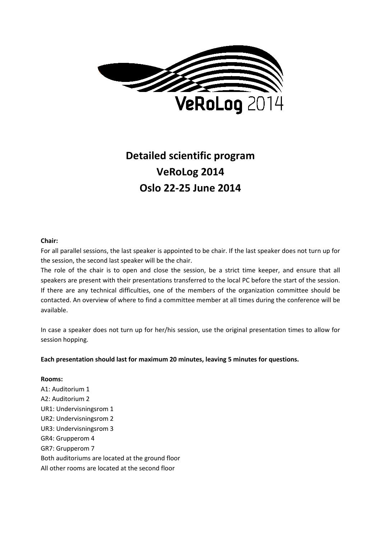

# **Detailed scientific program VeRoLog 2014 Oslo 22-25 June 2014**

#### **Chair:**

For all parallel sessions, the last speaker is appointed to be chair. If the last speaker does not turn up for the session, the second last speaker will be the chair.

The role of the chair is to open and close the session, be a strict time keeper, and ensure that all speakers are present with their presentations transferred to the local PC before the start of the session. If there are any technical difficulties, one of the members of the organization committee should be contacted. An overview of where to find a committee member at all times during the conference will be available.

In case a speaker does not turn up for her/his session, use the original presentation times to allow for session hopping.

**Each presentation should last for maximum 20 minutes, leaving 5 minutes for questions.**

**Rooms:** A1: Auditorium 1 A2: Auditorium 2 UR1: Undervisningsrom 1 UR2: Undervisningsrom 2 UR3: Undervisningsrom 3 GR4: Grupperom 4 GR7: Grupperom 7 Both auditoriums are located at the ground floor All other rooms are located at the second floor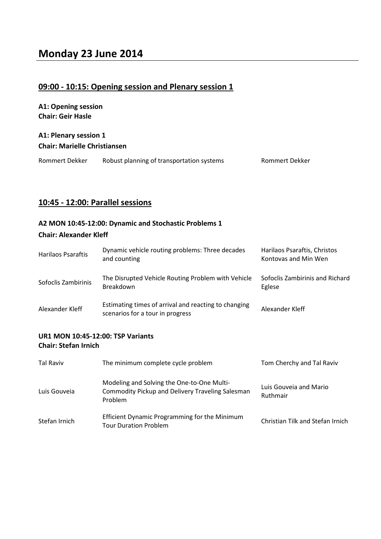## **09:00 - 10:15: Opening session and Plenary session 1**

**A1: Opening session Chair: Geir Hasle**

#### **A1: Plenary session 1 Chair: Marielle Christiansen**

| Rommert Dekker | Robust planning of transportation systems | Rommert Dekker |
|----------------|-------------------------------------------|----------------|
|----------------|-------------------------------------------|----------------|

## **10:45 - 12:00: Parallel sessions**

#### **A2 MON 10:45-12:00: Dynamic and Stochastic Problems 1**

#### **Chair: Alexander Kleff**

| <b>Harilaos Psaraftis</b>                | Dynamic vehicle routing problems: Three decades<br>and counting                          | Harilaos Psaraftis, Christos<br>Kontovas and Min Wen |
|------------------------------------------|------------------------------------------------------------------------------------------|------------------------------------------------------|
| Sofoclis Zambirinis                      | The Disrupted Vehicle Routing Problem with Vehicle<br>Breakdown                          | Sofoclis Zambirinis and Richard<br>Eglese            |
| Alexander Kleff                          | Estimating times of arrival and reacting to changing<br>scenarios for a tour in progress | Alexander Kleff                                      |
| <b>UR1 MON 10:45-12:00: TSP Variants</b> |                                                                                          |                                                      |

#### **Chair: Stefan Irnich**

| Tal Raviv     | The minimum complete cycle problem                                                                               | Tom Cherchy and Tal Raviv          |
|---------------|------------------------------------------------------------------------------------------------------------------|------------------------------------|
| Luis Gouveia  | Modeling and Solving the One-to-One Multi-<br><b>Commodity Pickup and Delivery Traveling Salesman</b><br>Problem | Luis Gouveja and Mario<br>Ruthmair |
| Stefan Irnich | Efficient Dynamic Programming for the Minimum<br><b>Tour Duration Problem</b>                                    | Christian Tilk and Stefan Irnich   |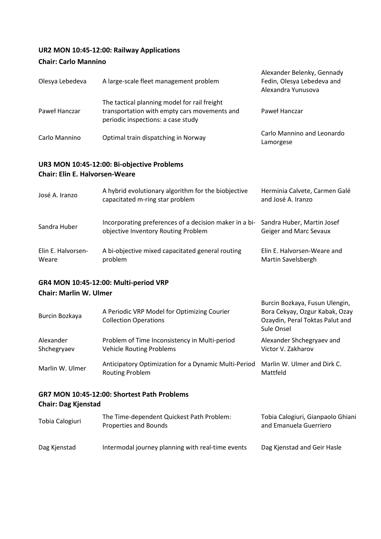## **UR2 MON 10:45-12:00: Railway Applications**

#### **Chair: Carlo Mannino**

| Olesya Lebedeva                       | A large-scale fleet management problem                                                                                             | Alexander Belenky, Gennady<br>Fedin, Olesya Lebedeva and<br>Alexandra Yunusova |
|---------------------------------------|------------------------------------------------------------------------------------------------------------------------------------|--------------------------------------------------------------------------------|
| Paweł Hanczar                         | The tactical planning model for rail freight<br>transportation with empty cars movements and<br>periodic inspections: a case study | Paweł Hanczar                                                                  |
| Carlo Mannino                         | Optimal train dispatching in Norway                                                                                                | Carlo Mannino and Leonardo<br>Lamorgese                                        |
| <b>Chair: Elin E. Halvorsen-Weare</b> | UR3 MON 10:45-12:00: Bi-objective Problems                                                                                         |                                                                                |
| José A. Iranzo                        | A hybrid evolutionary algorithm for the biobjective<br>capacitated m-ring star problem                                             | Herminia Calvete, Carmen Galé<br>and José A. Iranzo                            |
| Sandra Huber                          | Incorporating preferences of a decision maker in a bi-<br>objective Inventory Routing Problem                                      | Sandra Huber, Martin Josef<br>Geiger and Marc Sevaux                           |
| Elin E. Halvorsen-<br>Weare           | A bi-objective mixed capacitated general routing<br>problem                                                                        | Elin E. Halvorsen-Weare and<br>Martin Savelsbergh                              |

#### **GR4 MON 10:45-12:00: Multi-period VRP Chair: Marlin W. Ulmer**

| Burcin Bozkaya                              | A Periodic VRP Model for Optimizing Courier<br><b>Collection Operations</b>      | Burcin Bozkaya, Fusun Ulengin,<br>Bora Cekyay, Ozgur Kabak, Ozay<br>Ozaydin, Peral Toktas Palut and<br>Sule Onsel |
|---------------------------------------------|----------------------------------------------------------------------------------|-------------------------------------------------------------------------------------------------------------------|
| Alexander<br>Shchegryaev                    | Problem of Time Inconsistency in Multi-period<br><b>Vehicle Routing Problems</b> | Alexander Shchegryaev and<br>Victor V. Zakharov                                                                   |
| Marlin W. Ulmer                             | Anticipatory Optimization for a Dynamic Multi-Period<br><b>Routing Problem</b>   | Marlin W. Ulmer and Dirk C.<br>Mattfeld                                                                           |
| GR7 MON 10:45-12:00: Shortest Path Problems |                                                                                  |                                                                                                                   |

## **Chair: Dag Kjenstad**

| Tobia Calogiuri | The Time-dependent Quickest Path Problem:<br>Properties and Bounds | Tobia Calogiuri, Gianpaolo Ghiani<br>and Emanuela Guerriero |
|-----------------|--------------------------------------------------------------------|-------------------------------------------------------------|
| Dag Kjenstad    | Intermodal journey planning with real-time events                  | Dag Kjenstad and Geir Hasle                                 |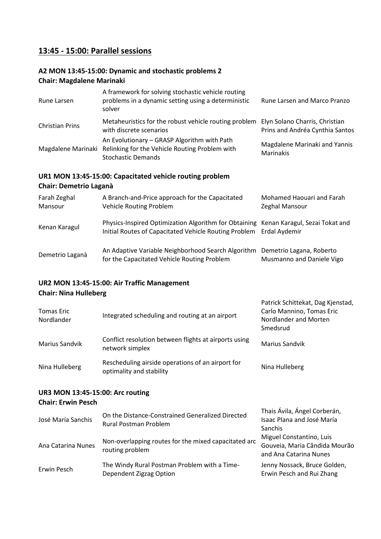## **13:45 - 15:00: Parallel sessions**

#### **A2 MON 13:45-15:00: Dynamic and stochastic problems 2 Chair: Magdalene Marinaki**

| Rune Larsen            | A framework for solving stochastic vehicle routing<br>problems in a dynamic setting using a deterministic<br>solver                           | Rune Larsen and Marco Pranzo                      |
|------------------------|-----------------------------------------------------------------------------------------------------------------------------------------------|---------------------------------------------------|
| <b>Christian Prins</b> | Metaheuristics for the robust vehicle routing problem Elyn Solano Charris, Christian<br>with discrete scenarios                               | Prins and Andréa Cynthia Santos                   |
|                        | An Evolutionary - GRASP Algorithm with Path<br>Magdalene Marinaki Relinking for the Vehicle Routing Problem with<br><b>Stochastic Demands</b> | Magdalene Marinaki and Yannis<br><b>Marinakis</b> |

## **UR1 MON 13:45-15:00: Capacitated vehicle routing problem**

#### **Chair: Demetrio Laganà**

| Farah Zeghal<br>Mansour | A Branch-and-Price approach for the Capacitated<br>Vehicle Routing Problem                                                                                  | Mohamed Haouari and Farah<br>Zeghal Mansour           |
|-------------------------|-------------------------------------------------------------------------------------------------------------------------------------------------------------|-------------------------------------------------------|
| Kenan Karagul           | Physics-Inspired Optimization Algorithm for Obtaining Kenan Karagul, Sezai Tokat and<br>Initial Routes of Capacitated Vehicle Routing Problem Erdal Aydemir |                                                       |
| Demetrio Laganà         | An Adaptive Variable Neighborhood Search Algorithm<br>for the Capacitated Vehicle Routing Problem                                                           | Demetrio Lagana, Roberto<br>Musmanno and Daniele Vigo |

#### **UR2 MON 13:45-15:00: Air Traffic Management Chair: Nina Hulleberg**

| <b>Tomas Eric</b><br><b>Nordlander</b>                        | Integrated scheduling and routing at an airport                               | Patrick Schittekat, Dag Kjenstad,<br>Carlo Mannino, Tomas Eric<br>Nordlander and Morten<br>Smedsrud |
|---------------------------------------------------------------|-------------------------------------------------------------------------------|-----------------------------------------------------------------------------------------------------|
| Marius Sandvik                                                | Conflict resolution between flights at airports using<br>network simplex      | <b>Marius Sandvik</b>                                                                               |
| Nina Hulleberg                                                | Rescheduling airside operations of an airport for<br>optimality and stability | Nina Hulleberg                                                                                      |
| UR3 MON 13:45-15:00: Arc routing<br><b>Chair: Erwin Pesch</b> |                                                                               | Thais Ávila, Ángel Corberán                                                                         |

| José María Sanchis | On the Distance-Constrained Generalized Directed<br>Rural Postman Problem | THRIS AVIID, ANSCE COLOCION,<br>Isaac Plana and José María<br><b>Sanchis</b>        |
|--------------------|---------------------------------------------------------------------------|-------------------------------------------------------------------------------------|
| Ana Catarina Nunes | Non-overlapping routes for the mixed capacitated arc<br>routing problem   | Miguel Constantino, Luis<br>Gouveia, Maria Cândida Mourão<br>and Ana Catarina Nunes |
| Erwin Pesch        | The Windy Rural Postman Problem with a Time-<br>Dependent Zigzag Option   | Jenny Nossack, Bruce Golden,<br>Erwin Pesch and Rui Zhang                           |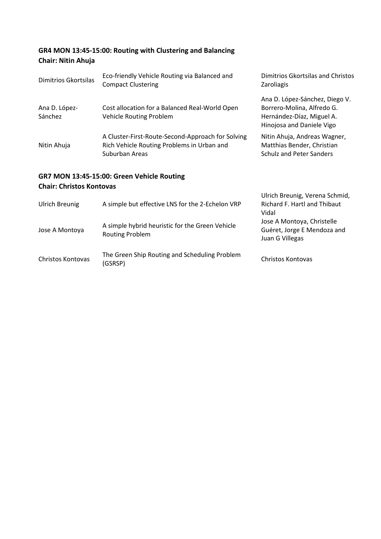## **GR4 MON 13:45-15:00: Routing with Clustering and Balancing Chair: Nitin Ahuja**

| Dimitrios Gkortsilas            | Eco-friendly Vehicle Routing via Balanced and<br><b>Compact Clustering</b>                                        | Dimitrios Gkortsilas and Christos<br><b>Zaroliagis</b>                                                                 |
|---------------------------------|-------------------------------------------------------------------------------------------------------------------|------------------------------------------------------------------------------------------------------------------------|
| Ana D. López-<br>Sánchez        | Cost allocation for a Balanced Real-World Open<br>Vehicle Routing Problem                                         | Ana D. López-Sánchez, Diego V.<br>Borrero-Molina, Alfredo G.<br>Hernández-Díaz, Miguel A.<br>Hinojosa and Daniele Vigo |
| Nitin Ahuja                     | A Cluster-First-Route-Second-Approach for Solving<br>Rich Vehicle Routing Problems in Urban and<br>Suburban Areas | Nitin Ahuja, Andreas Wagner,<br>Matthias Bender, Christian<br><b>Schulz and Peter Sanders</b>                          |
| <b>Chair: Christos Kontovas</b> | GR7 MON 13:45-15:00: Green Vehicle Routing                                                                        |                                                                                                                        |
| <b>Ulrich Breunig</b>           | A simple but effective LNS for the 2-Echelon VRP                                                                  | Ulrich Breunig, Verena Schmid,<br>Richard F. Hartl and Thibaut<br>Vidal                                                |
| Jose A Montoya                  | A simple hybrid heuristic for the Green Vehicle<br><b>Routing Problem</b>                                         | Jose A Montoya, Christelle<br>Guéret, Jorge E Mendoza and<br>Juan G Villegas                                           |
| Christos Kontovas               | The Green Ship Routing and Scheduling Problem<br>(GSRSP)                                                          | Christos Kontovas                                                                                                      |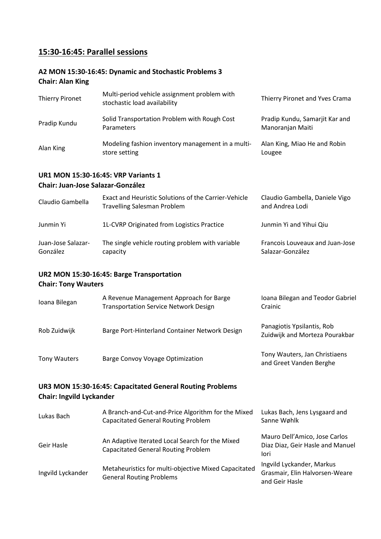## **15:30-16:45: Parallel sessions**

#### **A2 MON 15:30-16:45: Dynamic and Stochastic Problems 3 Chair: Alan King**

| <b>Thierry Pironet</b> | Multi-period vehicle assignment problem with<br>stochastic load availability | Thierry Pironet and Yves Crama                     |
|------------------------|------------------------------------------------------------------------------|----------------------------------------------------|
| Pradip Kundu           | Solid Transportation Problem with Rough Cost<br><b>Parameters</b>            | Pradip Kundu, Samarjit Kar and<br>Manoranjan Maiti |
| Alan King              | Modeling fashion inventory management in a multi-<br>store setting           | Alan King, Miao He and Robin<br>Lougee             |

#### **UR1 MON 15:30-16:45: VRP Variants 1 Chair: Juan-Jose Salazar-González**

| Claudio Gambella               | Exact and Heuristic Solutions of the Carrier-Vehicle<br><b>Travelling Salesman Problem</b> | Claudio Gambella, Daniele Vigo<br>and Andrea Lodi   |
|--------------------------------|--------------------------------------------------------------------------------------------|-----------------------------------------------------|
| Junmin Yi                      | 1L-CVRP Originated from Logistics Practice                                                 | Junmin Yi and Yihui Qiu                             |
| Juan-Jose Salazar-<br>González | The single vehicle routing problem with variable<br>capacity                               | Francois Louveaux and Juan-Jose<br>Salazar-González |

#### **UR2 MON 15:30-16:45: Barge Transportation Chair: Tony Wauters**

| Ioana Bilegan | A Revenue Management Approach for Barge<br><b>Transportation Service Network Design</b> | Ioana Bilegan and Teodor Gabriel<br>Crainic                  |
|---------------|-----------------------------------------------------------------------------------------|--------------------------------------------------------------|
| Rob Zuidwijk  | Barge Port-Hinterland Container Network Design                                          | Panagiotis Ypsilantis, Rob<br>Zuidwijk and Morteza Pourakbar |
| Tony Wauters  | Barge Convoy Voyage Optimization                                                        | Tony Wauters, Jan Christiaens<br>and Greet Vanden Berghe     |
|               |                                                                                         |                                                              |

#### **UR3 MON 15:30-16:45: Capacitated General Routing Problems Chair: Ingvild Lyckander**

| Lukas Bach        | A Branch-and-Cut-and-Price Algorithm for the Mixed<br><b>Capacitated General Routing Problem</b> | Lukas Bach, Jens Lysgaard and<br>Sanne Wøhlk                                  |
|-------------------|--------------------------------------------------------------------------------------------------|-------------------------------------------------------------------------------|
| Geir Hasle        | An Adaptive Iterated Local Search for the Mixed<br><b>Capacitated General Routing Problem</b>    | Mauro Dell'Amico, Jose Carlos<br>Diaz Diaz, Geir Hasle and Manuel<br>lori     |
| Ingvild Lyckander | Metaheuristics for multi-objective Mixed Capacitated<br><b>General Routing Problems</b>          | Ingvild Lyckander, Markus<br>Grasmair, Elin Halvorsen-Weare<br>and Geir Hasle |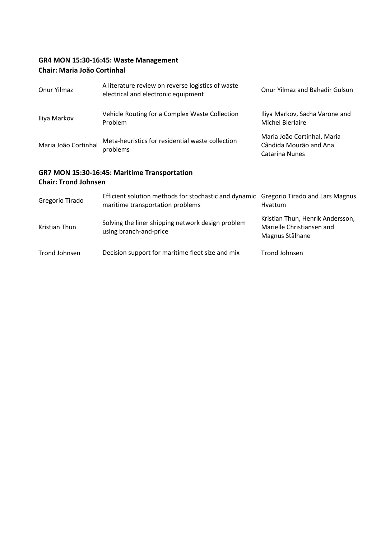## **GR4 MON 15:30-16:45: Waste Management Chair: Maria João Cortinhal**

| Onur Yilmaz                 | A literature review on reverse logistics of waste<br>electrical and electronic equipment                                  | <b>Onur Yilmaz and Bahadir Gulsun</b>                                   |
|-----------------------------|---------------------------------------------------------------------------------------------------------------------------|-------------------------------------------------------------------------|
| Iliya Markov                | Vehicle Routing for a Complex Waste Collection<br>Problem                                                                 | Iliya Markov, Sacha Varone and<br>Michel Bierlaire                      |
| Maria João Cortinhal        | Meta-heuristics for residential waste collection<br>problems                                                              | Maria João Cortinhal, Maria<br>Cândida Mourão and Ana<br>Catarina Nunes |
| <b>Chair: Trond Johnsen</b> | GR7 MON 15:30-16:45: Maritime Transportation                                                                              |                                                                         |
| Gregorio Tirado             | Efficient solution methods for stochastic and dynamic Gregorio Tirado and Lars Magnus<br>maritime transportation problems | <b>Hyattum</b>                                                          |

Kristian Thun Solving the liner shipping network design problem using branch-and-price Kristian Thun, Henrik Andersson, Marielle Christiansen and Magnus Stålhane Trond Johnsen Decision support for maritime fleet size and mix Trond Johnsen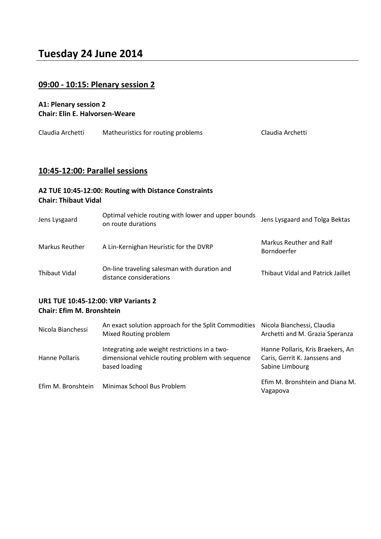## **Tuesday 24 June 2014**

## **09:00 - 10:15: Plenary session 2**

#### **A1: Plenary session 2 Chair: Elin E. Halvorsen-Weare**

| Claudia Archetti<br>Matheuristics for routing problems<br>Claudia Archetti |
|----------------------------------------------------------------------------|
|----------------------------------------------------------------------------|

#### **10:45-12:00: Parallel sessions**

#### **A2 TUE 10:45-12:00: Routing with Distance Constraints Chair: Thibaut Vidal**

| Jens Lysgaard  | Optimal vehicle routing with lower and upper bounds<br>on route durations | Jens Lysgaard and Tolga Bektas                |
|----------------|---------------------------------------------------------------------------|-----------------------------------------------|
| Markus Reuther | A Lin-Kernighan Heuristic for the DVRP                                    | Markus Reuther and Ralf<br><b>Borndoerfer</b> |
| Thibaut Vidal  | On-line traveling salesman with duration and<br>distance considerations   | Thibaut Vidal and Patrick Jaillet             |

#### **UR1 TUE 10:45-12:00: VRP Variants 2 Chair: Efim M. Bronshtein**

| Nicola Bianchessi | An exact solution approach for the Split Commodities Nicola Bianchessi, Claudia<br>Mixed Routing problem             | Archetti and M. Grazia Speranza                                                       |
|-------------------|----------------------------------------------------------------------------------------------------------------------|---------------------------------------------------------------------------------------|
| Hanne Pollaris    | Integrating axle weight restrictions in a two-<br>dimensional vehicle routing problem with sequence<br>based loading | Hanne Pollaris, Kris Braekers, An<br>Caris, Gerrit K. Janssens and<br>Sabine Limbourg |
|                   | Efim M. Bronshtein Minimax School Bus Problem                                                                        | Efim M. Bronshtein and Diana M.<br>Vagapova                                           |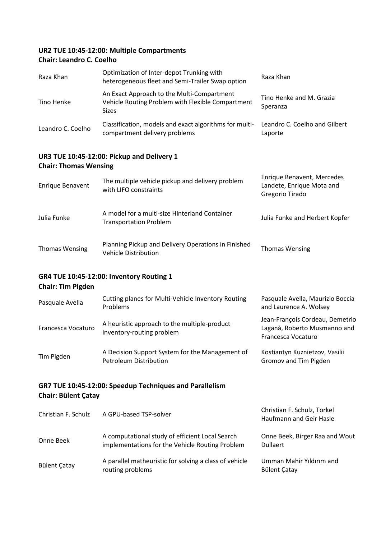#### **UR2 TUE 10:45-12:00: Multiple Compartments Chair: Leandro C. Coelho**

| Raza Khan                    | Optimization of Inter-depot Trunking with<br>heterogeneous fleet and Semi-Trailer Swap option                   | Raza Khan                                                                  |
|------------------------------|-----------------------------------------------------------------------------------------------------------------|----------------------------------------------------------------------------|
| Tino Henke                   | An Exact Approach to the Multi-Compartment<br>Vehicle Routing Problem with Flexible Compartment<br><b>Sizes</b> | Tino Henke and M. Grazia<br>Speranza                                       |
| Leandro C. Coelho            | Classification, models and exact algorithms for multi-<br>compartment delivery problems                         | Leandro C. Coelho and Gilbert<br>Laporte                                   |
| <b>Chair: Thomas Wensing</b> | UR3 TUE 10:45-12:00: Pickup and Delivery 1                                                                      |                                                                            |
| <b>Enrique Benavent</b>      | The multiple vehicle pickup and delivery problem<br>with LIFO constraints                                       | Enrique Benavent, Mercedes<br>Landete, Enrique Mota and<br>Gregorio Tirado |
| Julia Funke                  | A model for a multi-size Hinterland Container<br><b>Transportation Problem</b>                                  | Julia Funke and Herbert Kopfer                                             |
| <b>Thomas Wensing</b>        | Planning Pickup and Delivery Operations in Finished                                                             | <b>Thomas Wensing</b>                                                      |

## **GR4 TUE 10:45-12:00: Inventory Routing 1**

## **Chair: Tim Pigden**

| Pasquale Avella    | Cutting planes for Multi-Vehicle Inventory Routing<br><b>Problems</b>            | Pasquale Avella, Maurizio Boccia<br>and Laurence A. Wolsey                            |
|--------------------|----------------------------------------------------------------------------------|---------------------------------------------------------------------------------------|
| Francesca Vocaturo | A heuristic approach to the multiple-product<br>inventory-routing problem        | Jean-François Cordeau, Demetrio<br>Laganà, Roberto Musmanno and<br>Francesca Vocaturo |
| Tim Pigden         | A Decision Support System for the Management of<br><b>Petroleum Distribution</b> | Kostiantyn Kuznietzov, Vasilii<br>Gromov and Tim Pigden                               |

Planning Pickup and Delivery Operations in Finished Thomas Wensing<br>Vehicle Distribution

## **GR7 TUE 10:45-12:00: Speedup Techniques and Parallelism Chair: Bülent Çatay**

| Christian F. Schulz | A GPU-based TSP-solver                                                                             | Christian F. Schulz, Torkel<br>Haufmann and Geir Hasle |
|---------------------|----------------------------------------------------------------------------------------------------|--------------------------------------------------------|
| Onne Beek           | A computational study of efficient Local Search<br>implementations for the Vehicle Routing Problem | Onne Beek, Birger Raa and Wout<br><b>Dullaert</b>      |
| <b>Bülent Çatay</b> | A parallel matheuristic for solving a class of vehicle<br>routing problems                         | Umman Mahir Yıldırım and<br><b>Bülent Çatay</b>        |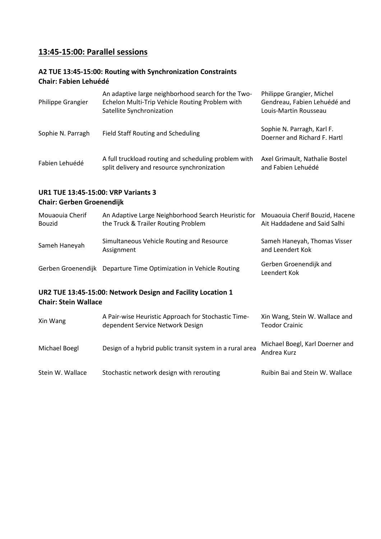## **13:45-15:00: Parallel sessions**

#### **A2 TUE 13:45-15:00: Routing with Synchronization Constraints Chair: Fabien Lehuédé**

| <b>Philippe Grangier</b> | An adaptive large neighborhood search for the Two-<br>Echelon Multi-Trip Vehicle Routing Problem with<br>Satellite Synchronization | Philippe Grangier, Michel<br>Gendreau, Fabien Lehuédé and<br>Louis-Martin Rousseau |
|--------------------------|------------------------------------------------------------------------------------------------------------------------------------|------------------------------------------------------------------------------------|
| Sophie N. Parragh        | <b>Field Staff Routing and Scheduling</b>                                                                                          | Sophie N. Parragh, Karl F.<br>Doerner and Richard F. Hartl                         |
| Fabien Lehuédé           | A full truckload routing and scheduling problem with<br>split delivery and resource synchronization                                | Axel Grimault, Nathalie Bostel<br>and Fabien Lehuédé                               |

#### **UR1 TUE 13:45-15:00: VRP Variants 3 Chair: Gerben Groenendijk**

| Mouaouia Cherif<br><b>Bouzid</b> | An Adaptive Large Neighborhood Search Heuristic for<br>the Truck & Trailer Routing Problem | Mouaouia Cherif Bouzid, Hacene<br>Ait Haddadene and Said Salhi |
|----------------------------------|--------------------------------------------------------------------------------------------|----------------------------------------------------------------|
| Sameh Haneyah                    | Simultaneous Vehicle Routing and Resource<br>Assignment                                    | Sameh Haneyah, Thomas Visser<br>and Leendert Kok               |
|                                  | Gerben Groenendijk Departure Time Optimization in Vehicle Routing                          | Gerben Groenendijk and<br>Leendert Kok                         |
| <b>Chair: Stein Wallace</b>      | UR2 TUE 13:45-15:00: Network Design and Facility Location 1                                |                                                                |
| Xin Wang                         | A Pair-wise Heuristic Approach for Stochastic Time-<br>dependent Service Network Design    | Xin Wang, Stein W. Wallace and<br><b>Teodor Crainic</b>        |
|                                  |                                                                                            |                                                                |

Stein W. Wallace Stochastic network design with rerouting Ruibin Bai and Stein W. Wallace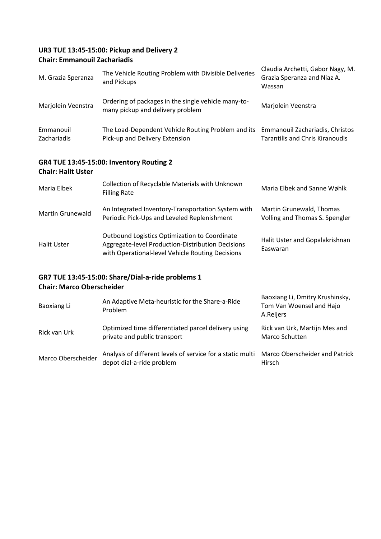## **UR3 TUE 13:45-15:00: Pickup and Delivery 2 Chair: Emmanouil Zachariadis**

| M. Grazia Speranza        | The Vehicle Routing Problem with Divisible Deliveries<br>and Pickups                               | Claudia Archetti, Gabor Nagy, M.<br>Grazia Speranza and Niaz A.<br>Wassan |
|---------------------------|----------------------------------------------------------------------------------------------------|---------------------------------------------------------------------------|
| Marjolein Veenstra        | Ordering of packages in the single vehicle many-to-<br>many pickup and delivery problem            | Marjolein Veenstra                                                        |
| Emmanouil<br>Zachariadis  | The Load-Dependent Vehicle Routing Problem and its<br>Pick-up and Delivery Extension               | Emmanouil Zachariadis, Christos<br><b>Tarantilis and Chris Kiranoudis</b> |
| <b>Chair: Halit Uster</b> | <b>GR4 TUE 13:45-15:00: Inventory Routing 2</b>                                                    |                                                                           |
| Maria Elbek               | Collection of Recyclable Materials with Unknown<br><b>Filling Rate</b>                             | Maria Elbek and Sanne Wøhlk                                               |
| <b>Martin Grunewald</b>   | An Integrated Inventory-Transportation System with<br>Periodic Pick-Ups and Leveled Replenishment  | Martin Grunewald, Thomas<br>Volling and Thomas S. Spengler                |
| <b>Halit Uster</b>        | Outbound Logistics Optimization to Coordinate<br>Aggregate-level Production-Distribution Decisions | Halit Uster and Gopalakrishnan<br>F                                       |

#### **GR7 TUE 13:45-15:00: Share/Dial-a-ride problems 1 Chair: Marco Oberscheider**

| Baoxiang Li        | An Adaptive Meta-heuristic for the Share-a-Ride<br>Problem                              | Baoxiang Li, Dmitry Krushinsky,<br>Tom Van Woensel and Hajo<br>A.Reijers |
|--------------------|-----------------------------------------------------------------------------------------|--------------------------------------------------------------------------|
| Rick van Urk       | Optimized time differentiated parcel delivery using<br>private and public transport     | Rick van Urk, Martijn Mes and<br>Marco Schutten                          |
| Marco Oberscheider | Analysis of different levels of service for a static multi<br>depot dial-a-ride problem | <b>Marco Oberscheider and Patrick</b><br>Hirsch                          |

Easwaran

with Operational-level Vehicle Routing Decisions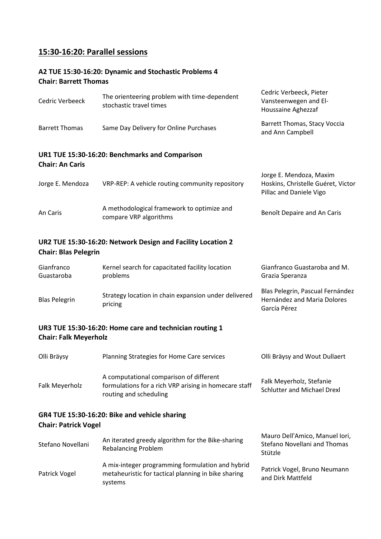## **15:30-16:20: Parallel sessions**

#### **A2 TUE 15:30-16:20: Dynamic and Stochastic Problems 4 Chair: Barrett Thomas**

systems

| <b>Cedric Verbeeck</b>       | The orienteering problem with time-dependent<br>stochastic travel times                                                    | Cedric Verbeeck, Pieter<br>Vansteenwegen and El-<br>Houssaine Aghezzaf                   |
|------------------------------|----------------------------------------------------------------------------------------------------------------------------|------------------------------------------------------------------------------------------|
| <b>Barrett Thomas</b>        | Same Day Delivery for Online Purchases                                                                                     | Barrett Thomas, Stacy Voccia<br>and Ann Campbell                                         |
| <b>Chair: An Caris</b>       | UR1 TUE 15:30-16:20: Benchmarks and Comparison                                                                             |                                                                                          |
| Jorge E. Mendoza             | VRP-REP: A vehicle routing community repository                                                                            | Jorge E. Mendoza, Maxim<br>Hoskins, Christelle Guéret, Victor<br>Pillac and Daniele Vigo |
| An Caris                     | A methodological framework to optimize and<br>compare VRP algorithms                                                       | Benoît Depaire and An Caris                                                              |
| <b>Chair: Blas Pelegrin</b>  | UR2 TUE 15:30-16:20: Network Design and Facility Location 2                                                                |                                                                                          |
| Gianfranco<br>Guastaroba     | Kernel search for capacitated facility location<br>problems                                                                | Gianfranco Guastaroba and M.<br>Grazia Speranza                                          |
| <b>Blas Pelegrin</b>         | Strategy location in chain expansion under delivered<br>pricing                                                            | Blas Pelegrin, Pascual Fernández<br>Hernández and Maria Dolores<br>García Pérez          |
| <b>Chair: Falk Meyerholz</b> | UR3 TUE 15:30-16:20: Home care and technician routing 1                                                                    |                                                                                          |
| Olli Bräysy                  | Planning Strategies for Home Care services                                                                                 | Olli Bräysy and Wout Dullaert                                                            |
| Falk Meyerholz               | A computational comparison of different<br>formulations for a rich VRP arising in homecare staff<br>routing and scheduling | Falk Meyerholz, Stefanie<br><b>Schlutter and Michael Drexl</b>                           |
| <b>Chair: Patrick Vogel</b>  | GR4 TUE 15:30-16:20: Bike and vehicle sharing                                                                              |                                                                                          |
| Stefano Novellani            | An iterated greedy algorithm for the Bike-sharing<br><b>Rebalancing Problem</b>                                            | Mauro Dell'Amico, Manuel Iori,<br><b>Stefano Novellani and Thomas</b><br>Stützle         |
| Patrick Vogel                | A mix-integer programming formulation and hybrid<br>metaheuristic for tactical planning in bike sharing                    | Patrick Vogel, Bruno Neumann<br>and Dirk Mattfeld                                        |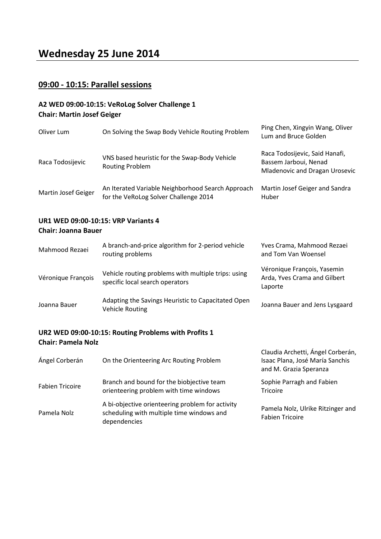## **09:00 - 10:15: Parallel sessions**

#### **A2 WED 09:00-10:15: VeRoLog Solver Challenge 1 Chair: Martin Josef Geiger**

| Oliver Lum          | On Solving the Swap Body Vehicle Routing Problem                                           | Ping Chen, Xingyin Wang, Oliver<br>Lum and Bruce Golden                                          |
|---------------------|--------------------------------------------------------------------------------------------|--------------------------------------------------------------------------------------------------|
| Raca Todosijevic    | VNS based heuristic for the Swap-Body Vehicle<br><b>Routing Problem</b>                    | Raca Todosijevic, Said Hanafi,<br>Bassem Jarboui, Nenad<br><b>Mladenovic and Dragan Urosevic</b> |
| Martin Josef Geiger | An Iterated Variable Neighborhood Search Approach<br>for the VeRoLog Solver Challenge 2014 | Martin Josef Geiger and Sandra<br>Huber                                                          |

#### **UR1 WED 09:00-10:15: VRP Variants 4 Chair: Joanna Bauer**

| Mahmood Rezaei     | A branch-and-price algorithm for 2-period vehicle<br>routing problems                  | Yves Crama, Mahmood Rezaei<br>and Tom Van Woensel                      |
|--------------------|----------------------------------------------------------------------------------------|------------------------------------------------------------------------|
| Véronique François | Vehicle routing problems with multiple trips: using<br>specific local search operators | Véronique François, Yasemin<br>Arda, Yves Crama and Gilbert<br>Laporte |
| Joanna Bauer       | Adapting the Savings Heuristic to Capacitated Open<br><b>Vehicle Routing</b>           | Joanna Bauer and Jens Lysgaard                                         |

## **UR2 WED 09:00-10:15: Routing Problems with Profits 1 Chair: Pamela Nolz**

| Ángel Corberán         | On the Orienteering Arc Routing Problem                                                                       | Claudia Archetti, Ángel Corberán,<br>Isaac Plana, José María Sanchis<br>and M. Grazia Speranza |
|------------------------|---------------------------------------------------------------------------------------------------------------|------------------------------------------------------------------------------------------------|
| <b>Fabien Tricoire</b> | Branch and bound for the biobjective team<br>orienteering problem with time windows                           | Sophie Parragh and Fabien<br><b>Tricoire</b>                                                   |
| Pamela Nolz            | A bi-objective orienteering problem for activity<br>scheduling with multiple time windows and<br>dependencies | Pamela Nolz, Ulrike Ritzinger and<br><b>Fabien Tricoire</b>                                    |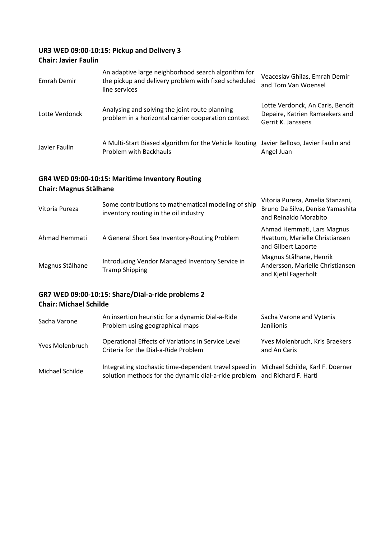## **UR3 WED 09:00-10:15: Pickup and Delivery 3**

#### **Chair: Javier Faulin**

| Emrah Demir    | An adaptive large neighborhood search algorithm for<br>the pickup and delivery problem with fixed scheduled<br>line services | Veaceslav Ghilas, Emrah Demir<br>and Tom Van Woensel                                     |
|----------------|------------------------------------------------------------------------------------------------------------------------------|------------------------------------------------------------------------------------------|
| Lotte Verdonck | Analysing and solving the joint route planning<br>problem in a horizontal carrier cooperation context                        | Lotte Verdonck, An Caris, Benoît<br>Depaire, Katrien Ramaekers and<br>Gerrit K. Janssens |
| Javier Faulin  | A Multi-Start Biased algorithm for the Vehicle Routing Javier Belloso, Javier Faulin and<br>Problem with Backhauls           | Angel Juan                                                                               |

#### **GR4 WED 09:00-10:15: Maritime Inventory Routing Chair: Magnus Stålhane**

| Vitoria Pureza  | Some contributions to mathematical modeling of ship<br>inventory routing in the oil industry | Vitoria Pureza, Amelia Stanzani,<br>Bruno Da Silva, Denise Yamashita<br>and Reinaldo Morabito |
|-----------------|----------------------------------------------------------------------------------------------|-----------------------------------------------------------------------------------------------|
| Ahmad Hemmati   | A General Short Sea Inventory-Routing Problem                                                | Ahmad Hemmati, Lars Magnus<br>Hvattum, Marielle Christiansen<br>and Gilbert Laporte           |
| Magnus Stålhane | Introducing Vendor Managed Inventory Service in<br><b>Tramp Shipping</b>                     | Magnus Stålhane, Henrik<br>Andersson, Marielle Christiansen<br>and Kjetil Fagerholt           |

### **GR7 WED 09:00-10:15: Share/Dial-a-ride problems 2 Chair: Michael Schilde**

| Sacha Varone           | An insertion heuristic for a dynamic Dial-a-Ride<br>Problem using geographical maps                                                                                 | Sacha Varone and Vytenis<br>Janilionis         |
|------------------------|---------------------------------------------------------------------------------------------------------------------------------------------------------------------|------------------------------------------------|
| <b>Yves Molenbruch</b> | Operational Effects of Variations in Service Level<br>Criteria for the Dial-a-Ride Problem                                                                          | Yves Molenbruch, Kris Braekers<br>and An Caris |
| Michael Schilde        | Integrating stochastic time-dependent travel speed in Michael Schilde, Karl F. Doerner<br>solution methods for the dynamic dial-a-ride problem and Richard F. Hartl |                                                |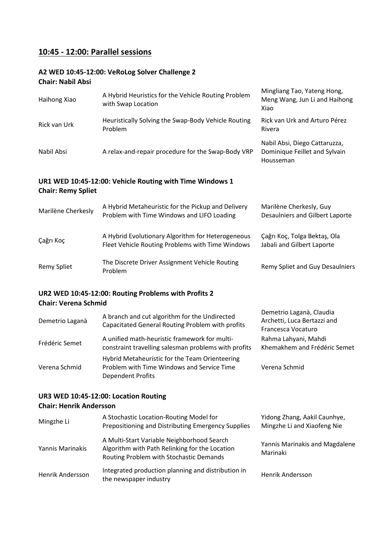## **10:45 - 12:00: Parallel sessions**

## **A2 WED 10:45-12:00: VeRoLog Solver Challenge 2**

## **Chair: Nabil Absi**

| Haihong Xiao              | A Hybrid Heuristics for the Vehicle Routing Problem<br>with Swap Location                             | Mingliang Tao, Yateng Hong,<br>Meng Wang, Jun Li and Haihong<br>Xiao        |
|---------------------------|-------------------------------------------------------------------------------------------------------|-----------------------------------------------------------------------------|
| Rick van Urk              | Heuristically Solving the Swap-Body Vehicle Routing<br>Problem                                        | Rick van Urk and Arturo Pérez<br>Rivera                                     |
| Nabil Absi                | A relax-and-repair procedure for the Swap-Body VRP                                                    | Nabil Absi, Diego Cattaruzza,<br>Dominique Feillet and Sylvain<br>Housseman |
| <b>Chair: Remy Spliet</b> | UR1 WED 10:45-12:00: Vehicle Routing with Time Windows 1                                              |                                                                             |
| Marilène Cherkesly        | A Hybrid Metaheuristic for the Pickup and Delivery<br>Problem with Time Windows and LIFO Loading      | Marilène Cherkesly, Guy<br>Desaulniers and Gilbert Laporte                  |
| Çağrı Koç                 | A Hybrid Evolutionary Algorithm for Heterogeneous<br>Fleet Vehicle Routing Problems with Time Windows | Çağrı Koç, Tolga Bektaş, Ola<br>Jabali and Gilbert Laporte                  |
| <b>Remy Spliet</b>        | The Discrete Driver Assignment Vehicle Routing<br>Problem                                             | Remy Spliet and Guy Desaulniers                                             |

## **UR2 WED 10:45-12:00: Routing Problems with Profits 2 Chair: Verena Schmid**

| Demetrio Laganà | A branch and cut algorithm for the Undirected<br>Capacitated General Routing Problem with profits                        | Demetrio Laganà, Claudia<br>Archetti, Luca Bertazzi and<br>Francesca Vocaturo |
|-----------------|--------------------------------------------------------------------------------------------------------------------------|-------------------------------------------------------------------------------|
| Frédéric Semet  | A unified math-heuristic framework for multi-<br>constraint travelling salesman problems with profits                    | Rahma Lahyani, Mahdi<br>Khemakhem and Frédéric Semet                          |
| Verena Schmid   | Hybrid Metaheuristic for the Team Orienteering<br>Problem with Time Windows and Service Time<br><b>Dependent Profits</b> | Verena Schmid                                                                 |

## **UR3 WED 10:45-12:00: Location Routing Chair: Henrik Andersson**

| Mingzhe Li       | A Stochastic Location-Routing Model for<br>Prepositioning and Distributing Emergency Supplies                                           | Yidong Zhang, Aakil Caunhye,<br>Mingzhe Li and Xiaofeng Nie |
|------------------|-----------------------------------------------------------------------------------------------------------------------------------------|-------------------------------------------------------------|
| Yannis Marinakis | A Multi-Start Variable Neighborhood Search<br>Algorithm with Path Relinking for the Location<br>Routing Problem with Stochastic Demands | Yannis Marinakis and Magdalene<br>Marinaki                  |
| Henrik Andersson | Integrated production planning and distribution in<br>the newspaper industry                                                            | Henrik Andersson                                            |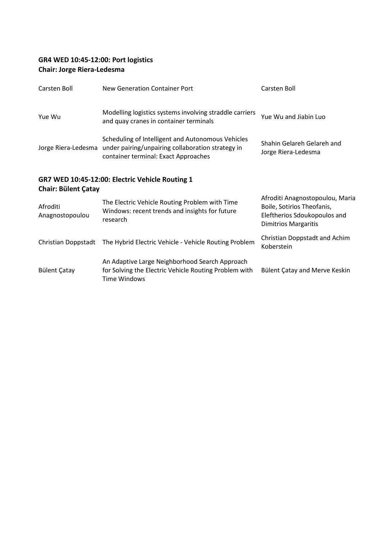## **GR4 WED 10:45-12:00: Port logistics Chair: Jorge Riera-Ledesma**

| Carsten Boll                                                                  | New Generation Container Port                                                                                                                                      | Carsten Boll                                                                                                                 |  |  |
|-------------------------------------------------------------------------------|--------------------------------------------------------------------------------------------------------------------------------------------------------------------|------------------------------------------------------------------------------------------------------------------------------|--|--|
| Yue Wu                                                                        | Modelling logistics systems involving straddle carriers<br>and quay cranes in container terminals                                                                  | Yue Wu and Jiabin Luo                                                                                                        |  |  |
|                                                                               | Scheduling of Intelligent and Autonomous Vehicles<br>Jorge Riera-Ledesma under pairing/unpairing collaboration strategy in<br>container terminal: Exact Approaches | Shahin Gelareh Gelareh and<br>Jorge Riera-Ledesma                                                                            |  |  |
| GR7 WED 10:45-12:00: Electric Vehicle Routing 1<br><b>Chair: Bülent Çatay</b> |                                                                                                                                                                    |                                                                                                                              |  |  |
| Afroditi<br>Anagnostopoulou                                                   | The Electric Vehicle Routing Problem with Time<br>Windows: recent trends and insights for future<br>research                                                       | Afroditi Anagnostopoulou, Maria<br>Boile, Sotirios Theofanis,<br>Eleftherios Sdoukopoulos and<br><b>Dimitrios Margaritis</b> |  |  |
| Christian Doppstadt                                                           | The Hybrid Electric Vehicle - Vehicle Routing Problem                                                                                                              | Christian Doppstadt and Achim<br>Koberstein                                                                                  |  |  |
| <b>Bülent Çatay</b>                                                           | An Adaptive Large Neighborhood Search Approach<br>for Solving the Electric Vehicle Routing Problem with<br><b>Time Windows</b>                                     | Bülent Çatay and Merve Keskin                                                                                                |  |  |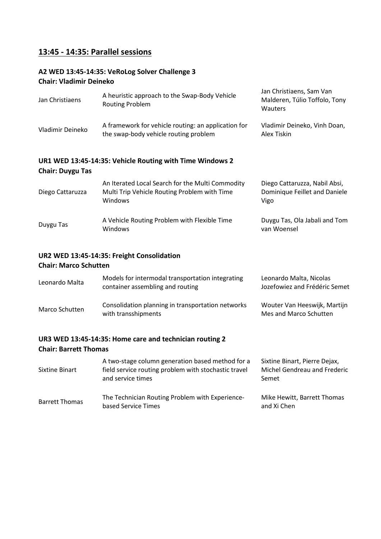## **13:45 - 14:35: Parallel sessions**

#### **A2 WED 13:45-14:35: VeRoLog Solver Challenge 3 Chair: Vladimir Deineko**

| Jan Christiaens         | A heuristic approach to the Swap-Body Vehicle<br>Routing Problem                                            | Jan Christiaens, Sam Van<br>Malderen, Túlio Toffolo, Tony<br>Wauters   |
|-------------------------|-------------------------------------------------------------------------------------------------------------|------------------------------------------------------------------------|
| Vladimir Deineko        | A framework for vehicle routing: an application for<br>the swap-body vehicle routing problem                | Vladimir Deineko, Vinh Doan,<br>Alex Tiskin                            |
| <b>Chair: Duygu Tas</b> | UR1 WED 13:45-14:35: Vehicle Routing with Time Windows 2                                                    |                                                                        |
| Diego Cattaruzza        | An Iterated Local Search for the Multi Commodity<br>Multi Trip Vehicle Routing Problem with Time<br>Windows | Diego Cattaruzza, Nabil Absi,<br>Dominique Feillet and Daniele<br>Vigo |
| Duygu Tas               | A Vehicle Routing Problem with Flexible Time<br>Windows                                                     | Duygu Tas, Ola Jabali and Tom<br>van Woensel                           |

## **UR2 WED 13:45-14:35: Freight Consolidation**

#### **Chair: Marco Schutten**

| Leonardo Malta | Models for intermodal transportation integrating<br>container assembling and routing | Leonardo Malta, Nicolas<br>Jozefowiez and Frédéric Semet |
|----------------|--------------------------------------------------------------------------------------|----------------------------------------------------------|
| Marco Schutten | Consolidation planning in transportation networks<br>with transshipments             | Wouter Van Heeswijk, Martijn<br>Mes and Marco Schutten   |

## **UR3 WED 13:45-14:35: Home care and technician routing 2**

## **Chair: Barrett Thomas**

| Sixtine Binart        | A two-stage column generation based method for a<br>field service routing problem with stochastic travel<br>and service times | Sixtine Binart, Pierre Dejax,<br>Michel Gendreau and Frederic<br>Semet |
|-----------------------|-------------------------------------------------------------------------------------------------------------------------------|------------------------------------------------------------------------|
| <b>Barrett Thomas</b> | The Technician Routing Problem with Experience-<br>based Service Times                                                        | Mike Hewitt, Barrett Thomas<br>and Xi Chen                             |